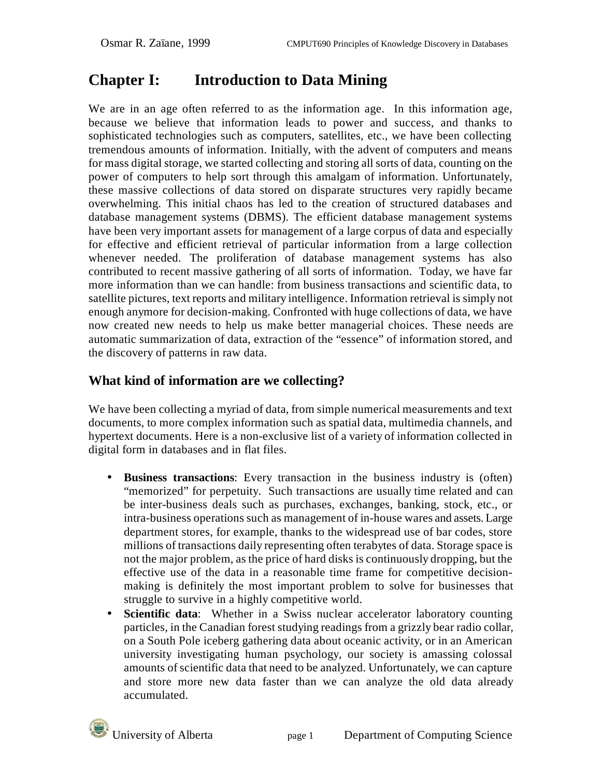# **Chapter I: Introduction to Data Mining**

We are in an age often referred to as the information age. In this information age, because we believe that information leads to power and success, and thanks to sophisticated technologies such as computers, satellites, etc., we have been collecting tremendous amounts of information. Initially, with the advent of computers and means for mass digital storage, we started collecting and storing all sorts of data, counting on the power of computers to help sort through this amalgam of information. Unfortunately, these massive collections of data stored on disparate structures very rapidly became overwhelming. This initial chaos has led to the creation of structured databases and database management systems (DBMS). The efficient database management systems have been very important assets for management of a large corpus of data and especially for effective and efficient retrieval of particular information from a large collection whenever needed. The proliferation of database management systems has also contributed to recent massive gathering of all sorts of information. Today, we have far more information than we can handle: from business transactions and scientific data, to satellite pictures, text reports and military intelligence. Information retrieval is simply not enough anymore for decision-making. Confronted with huge collections of data, we have now created new needs to help us make better managerial choices. These needs are automatic summarization of data, extraction of the "essence" of information stored, and the discovery of patterns in raw data.

# **What kind of information are we collecting?**

We have been collecting a myriad of data, from simple numerical measurements and text documents, to more complex information such as spatial data, multimedia channels, and hypertext documents. Here is a non-exclusive list of a variety of information collected in digital form in databases and in flat files.

- **Business transactions**: Every transaction in the business industry is (often) "memorized" for perpetuity. Such transactions are usually time related and can be inter-business deals such as purchases, exchanges, banking, stock, etc., or intra-business operations such as management of in-house wares and assets. Large department stores, for example, thanks to the widespread use of bar codes, store millions of transactions daily representing often terabytes of data. Storage space is not the major problem, as the price of hard disks is continuously dropping, but the effective use of the data in a reasonable time frame for competitive decisionmaking is definitely the most important problem to solve for businesses that struggle to survive in a highly competitive world.
- **Scientific data**: Whether in a Swiss nuclear accelerator laboratory counting particles, in the Canadian forest studying readings from a grizzly bear radio collar, on a South Pole iceberg gathering data about oceanic activity, or in an American university investigating human psychology, our society is amassing colossal amounts of scientific data that need to be analyzed. Unfortunately, we can capture and store more new data faster than we can analyze the old data already accumulated.

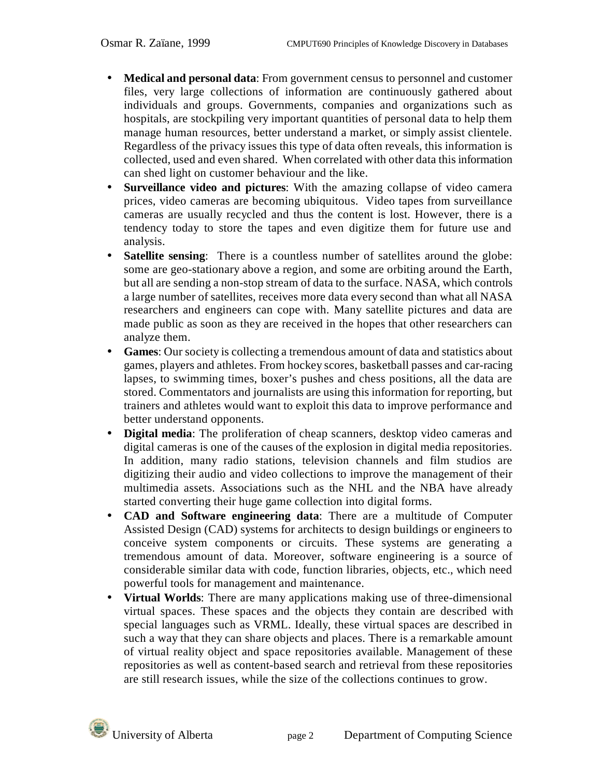- **Medical and personal data**: From government census to personnel and customer files, very large collections of information are continuously gathered about individuals and groups. Governments, companies and organizations such as hospitals, are stockpiling very important quantities of personal data to help them manage human resources, better understand a market, or simply assist clientele. Regardless of the privacy issues this type of data often reveals, this information is collected, used and even shared. When correlated with other data this information can shed light on customer behaviour and the like.
- **Surveillance video and pictures**: With the amazing collapse of video camera prices, video cameras are becoming ubiquitous. Video tapes from surveillance cameras are usually recycled and thus the content is lost. However, there is a tendency today to store the tapes and even digitize them for future use and analysis.
- **Satellite sensing**: There is a countless number of satellites around the globe: some are geo-stationary above a region, and some are orbiting around the Earth, but all are sending a non-stop stream of data to the surface. NASA, which controls a large number of satellites, receives more data every second than what all NASA researchers and engineers can cope with. Many satellite pictures and data are made public as soon as they are received in the hopes that other researchers can analyze them.
- **Games**: Our society is collecting a tremendous amount of data and statistics about games, players and athletes. From hockey scores, basketball passes and car-racing lapses, to swimming times, boxer's pushes and chess positions, all the data are stored. Commentators and journalists are using this information for reporting, but trainers and athletes would want to exploit this data to improve performance and better understand opponents.
- **Digital media**: The proliferation of cheap scanners, desktop video cameras and digital cameras is one of the causes of the explosion in digital media repositories. In addition, many radio stations, television channels and film studios are digitizing their audio and video collections to improve the management of their multimedia assets. Associations such as the NHL and the NBA have already started converting their huge game collection into digital forms.
- **CAD and Software engineering data**: There are a multitude of Computer Assisted Design (CAD) systems for architects to design buildings or engineers to conceive system components or circuits. These systems are generating a tremendous amount of data. Moreover, software engineering is a source of considerable similar data with code, function libraries, objects, etc., which need powerful tools for management and maintenance.
- **Virtual Worlds**: There are many applications making use of three-dimensional virtual spaces. These spaces and the objects they contain are described with special languages such as VRML. Ideally, these virtual spaces are described in such a way that they can share objects and places. There is a remarkable amount of virtual reality object and space repositories available. Management of these repositories as well as content-based search and retrieval from these repositories are still research issues, while the size of the collections continues to grow.

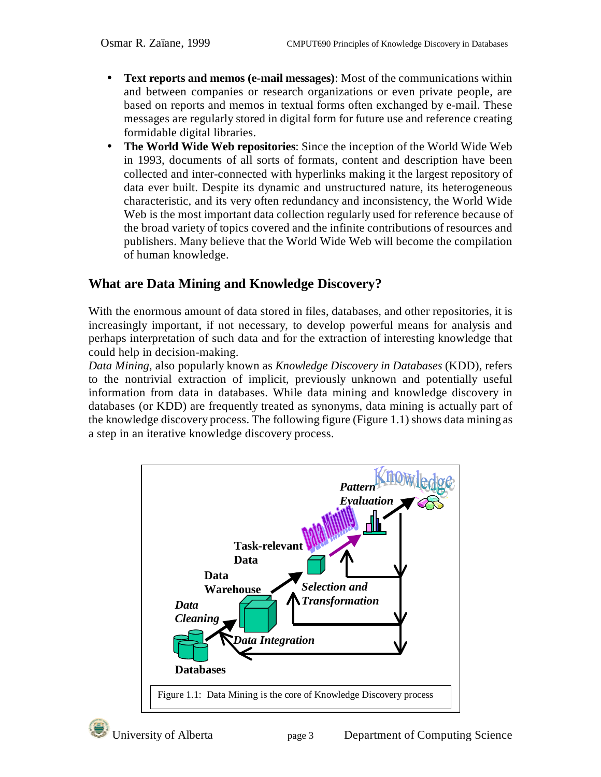- **Text reports and memos (e-mail messages)**: Most of the communications within and between companies or research organizations or even private people, are based on reports and memos in textual forms often exchanged by e-mail. These messages are regularly stored in digital form for future use and reference creating formidable digital libraries.
- **The World Wide Web repositories**: Since the inception of the World Wide Web in 1993, documents of all sorts of formats, content and description have been collected and inter-connected with hyperlinks making it the largest repository of data ever built. Despite its dynamic and unstructured nature, its heterogeneous characteristic, and its very often redundancy and inconsistency, the World Wide Web is the most important data collection regularly used for reference because of the broad variety of topics covered and the infinite contributions of resources and publishers. Many believe that the World Wide Web will become the compilation of human knowledge.

# **What are Data Mining and Knowledge Discovery?**

With the enormous amount of data stored in files, databases, and other repositories, it is increasingly important, if not necessary, to develop powerful means for analysis and perhaps interpretation of such data and for the extraction of interesting knowledge that could help in decision-making.

*Data Mining*, also popularly known as *Knowledge Discovery in Databases* (KDD), refers to the nontrivial extraction of implicit, previously unknown and potentially useful information from data in databases. While data mining and knowledge discovery in databases (or KDD) are frequently treated as synonyms, data mining is actually part of the knowledge discovery process. The following figure (Figure 1.1) shows data mining as a step in an iterative knowledge discovery process.

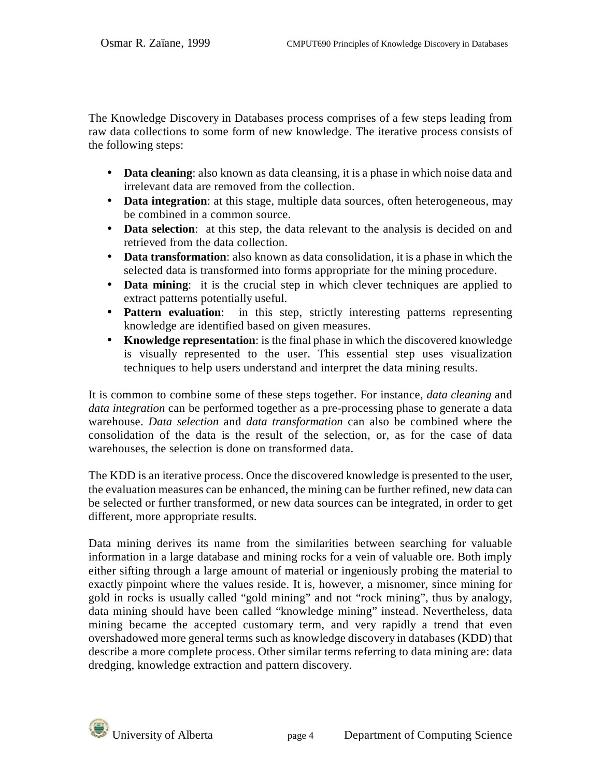The Knowledge Discovery in Databases process comprises of a few steps leading from raw data collections to some form of new knowledge. The iterative process consists of the following steps:

- **Data cleaning**: also known as data cleansing, it is a phase in which noise data and irrelevant data are removed from the collection.
- **Data integration**: at this stage, multiple data sources, often heterogeneous, may be combined in a common source.
- **Data selection**: at this step, the data relevant to the analysis is decided on and retrieved from the data collection.
- **Data transformation**: also known as data consolidation, it is a phase in which the selected data is transformed into forms appropriate for the mining procedure.
- **Data mining**: it is the crucial step in which clever techniques are applied to extract patterns potentially useful.
- **Pattern evaluation**: in this step, strictly interesting patterns representing knowledge are identified based on given measures.
- **Knowledge representation**: is the final phase in which the discovered knowledge is visually represented to the user. This essential step uses visualization techniques to help users understand and interpret the data mining results.

It is common to combine some of these steps together. For instance, *data cleaning* and *data integration* can be performed together as a pre-processing phase to generate a data warehouse. *Data selection* and *data transformation* can also be combined where the consolidation of the data is the result of the selection, or, as for the case of data warehouses, the selection is done on transformed data.

The KDD is an iterative process. Once the discovered knowledge is presented to the user, the evaluation measures can be enhanced, the mining can be further refined, new data can be selected or further transformed, or new data sources can be integrated, in order to get different, more appropriate results.

Data mining derives its name from the similarities between searching for valuable information in a large database and mining rocks for a vein of valuable ore. Both imply either sifting through a large amount of material or ingeniously probing the material to exactly pinpoint where the values reside. It is, however, a misnomer, since mining for gold in rocks is usually called "gold mining" and not "rock mining", thus by analogy, data mining should have been called "knowledge mining" instead. Nevertheless, data mining became the accepted customary term, and very rapidly a trend that even overshadowed more general terms such as knowledge discovery in databases (KDD) that describe a more complete process. Other similar terms referring to data mining are: data dredging, knowledge extraction and pattern discovery.

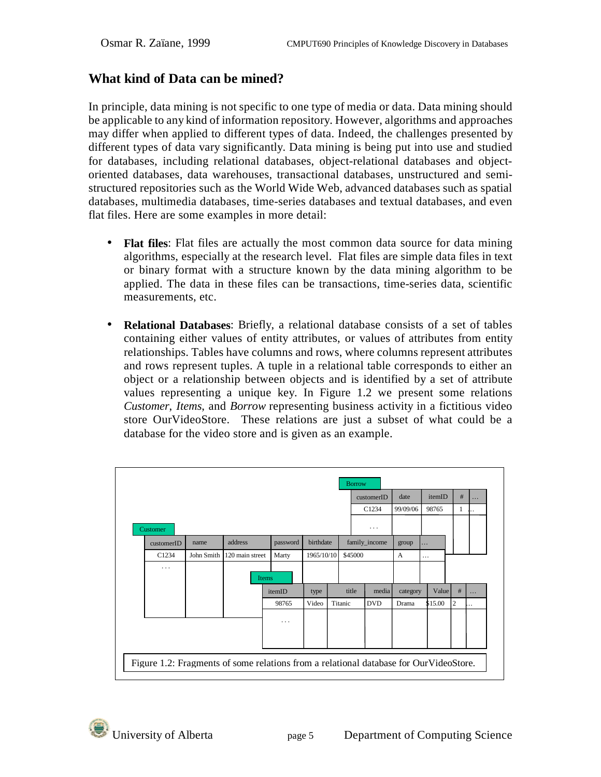## **What kind of Data can be mined?**

In principle, data mining is not specific to one type of media or data. Data mining should be applicable to any kind of information repository. However, algorithms and approaches may differ when applied to different types of data. Indeed, the challenges presented by different types of data vary significantly. Data mining is being put into use and studied for databases, including relational databases, object-relational databases and objectoriented databases, data warehouses, transactional databases, unstructured and semistructured repositories such as the World Wide Web, advanced databases such as spatial databases, multimedia databases, time-series databases and textual databases, and even flat files. Here are some examples in more detail:

- **Flat files**: Flat files are actually the most common data source for data mining algorithms, especially at the research level. Flat files are simple data files in text or binary format with a structure known by the data mining algorithm to be applied. The data in these files can be transactions, time-series data, scientific measurements, etc.
- **Relational Databases**: Briefly, a relational database consists of a set of tables containing either values of entity attributes, or values of attributes from entity relationships. Tables have columns and rows, where columns represent attributes and rows represent tuples. A tuple in a relational table corresponds to either an object or a relationship between objects and is identified by a set of attribute values representing a unique key. In Figure 1.2 we present some relations *Customer*, *Items*, and *Borrow* representing business activity in a fictitious video store OurVideoStore. These relations are just a subset of what could be a database for the video store and is given as an example.

|            |            |                 |          |            |         |         | customerID    | date          | itemID  | #              | .   |
|------------|------------|-----------------|----------|------------|---------|---------|---------------|---------------|---------|----------------|-----|
|            |            |                 |          |            |         |         | C1234         | 99/09/06      | 98765   | 1              | . . |
| Customer   |            |                 |          |            |         |         | $\cdots$      |               |         |                |     |
| customerID | name       | address         | password | birthdate  |         |         | family_income | group         | .       |                |     |
| C1234      | John Smith | 120 main street | Marty    | 1965/10/10 |         | \$45000 |               | A<br>$\cdots$ |         |                |     |
| .          |            |                 | Items    |            |         |         |               |               |         |                |     |
|            |            |                 | itemID   | type       |         | title   | media         | category      | Value   | #              | .   |
|            |            |                 | 98765    | Video      | Titanic |         | <b>DVD</b>    | Drama         | \$15.00 | $\overline{c}$ | . . |
|            |            |                 | $\cdots$ |            |         |         |               |               |         |                |     |
|            |            |                 |          |            |         |         |               |               |         |                |     |
|            |            |                 |          |            |         |         |               |               |         |                |     |

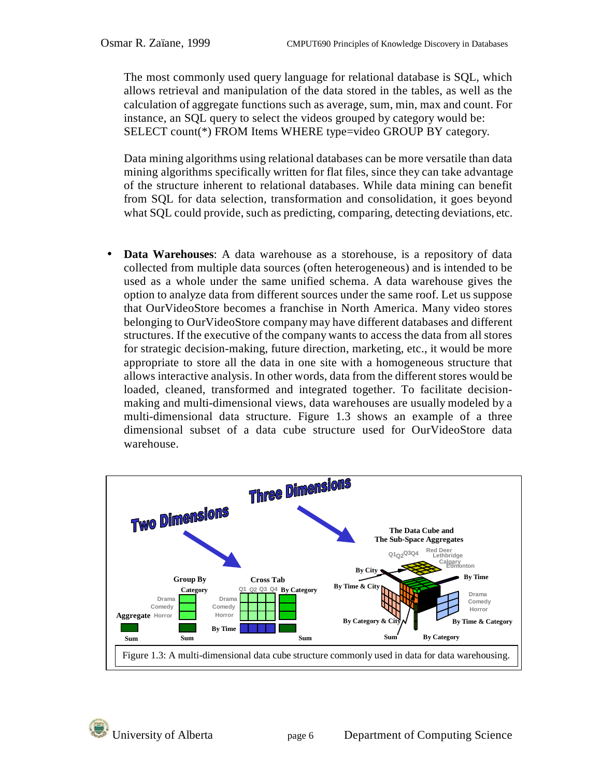The most commonly used query language for relational database is SQL, which allows retrieval and manipulation of the data stored in the tables, as well as the calculation of aggregate functions such as average, sum, min, max and count. For instance, an SQL query to select the videos grouped by category would be: SELECT count(\*) FROM Items WHERE type=video GROUP BY category.

Data mining algorithms using relational databases can be more versatile than data mining algorithms specifically written for flat files, since they can take advantage of the structure inherent to relational databases. While data mining can benefit from SQL for data selection, transformation and consolidation, it goes beyond what SQL could provide, such as predicting, comparing, detecting deviations, etc.

• **Data Warehouses**: A data warehouse as a storehouse, is a repository of data collected from multiple data sources (often heterogeneous) and is intended to be used as a whole under the same unified schema. A data warehouse gives the option to analyze data from different sources under the same roof. Let us suppose that OurVideoStore becomes a franchise in North America. Many video stores belonging to OurVideoStore company may have different databases and different structures. If the executive of the company wants to access the data from all stores for strategic decision-making, future direction, marketing, etc., it would be more appropriate to store all the data in one site with a homogeneous structure that allows interactive analysis. In other words, data from the different stores would be loaded, cleaned, transformed and integrated together. To facilitate decisionmaking and multi-dimensional views, data warehouses are usually modeled by a multi-dimensional data structure. Figure 1.3 shows an example of a three dimensional subset of a data cube structure used for OurVideoStore data warehouse.

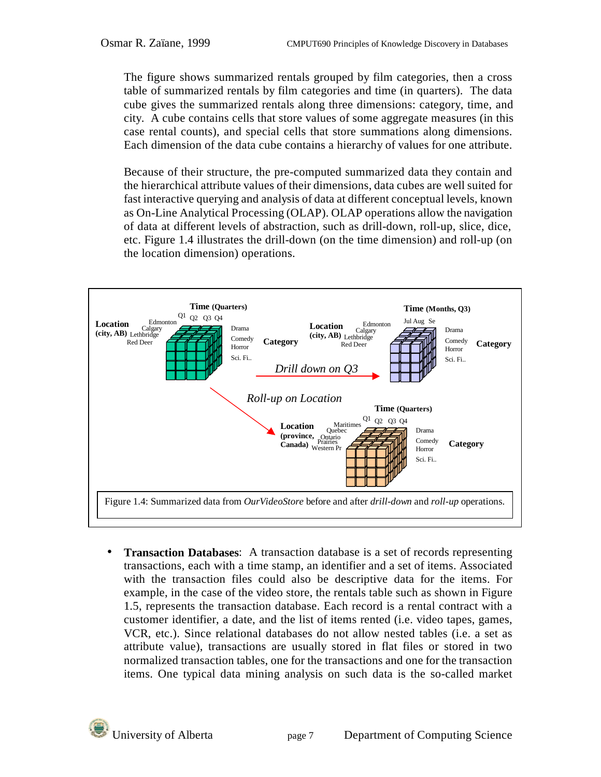The figure shows summarized rentals grouped by film categories, then a cross table of summarized rentals by film categories and time (in quarters). The data cube gives the summarized rentals along three dimensions: category, time, and city. A cube contains cells that store values of some aggregate measures (in this case rental counts), and special cells that store summations along dimensions. Each dimension of the data cube contains a hierarchy of values for one attribute.

Because of their structure, the pre-computed summarized data they contain and the hierarchical attribute values of their dimensions, data cubes are well suited for fast interactive querying and analysis of data at different conceptual levels, known as On-Line Analytical Processing (OLAP). OLAP operations allow the navigation of data at different levels of abstraction, such as drill-down, roll-up, slice, dice, etc. Figure 1.4 illustrates the drill-down (on the time dimension) and roll-up (on the location dimension) operations.



• **Transaction Databases**: A transaction database is a set of records representing transactions, each with a time stamp, an identifier and a set of items. Associated with the transaction files could also be descriptive data for the items. For example, in the case of the video store, the rentals table such as shown in Figure 1.5, represents the transaction database. Each record is a rental contract with a customer identifier, a date, and the list of items rented (i.e. video tapes, games, VCR, etc.). Since relational databases do not allow nested tables (i.e. a set as attribute value), transactions are usually stored in flat files or stored in two normalized transaction tables, one for the transactions and one for the transaction items. One typical data mining analysis on such data is the so-called market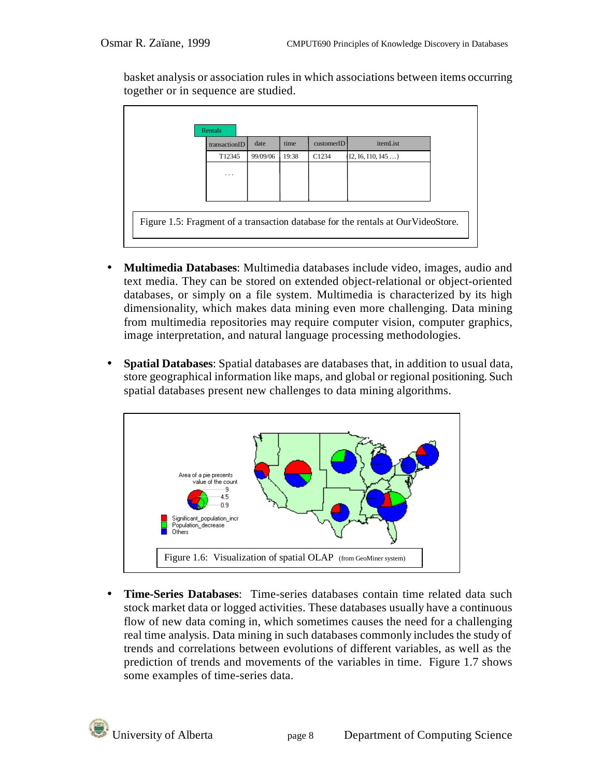basket analysis or association rules in which associations between items occurring together or in sequence are studied.



- **Multimedia Databases**: Multimedia databases include video, images, audio and text media. They can be stored on extended object-relational or object-oriented databases, or simply on a file system. Multimedia is characterized by its high dimensionality, which makes data mining even more challenging. Data mining from multimedia repositories may require computer vision, computer graphics, image interpretation, and natural language processing methodologies.
- **Spatial Databases**: Spatial databases are databases that, in addition to usual data, store geographical information like maps, and global or regional positioning. Such spatial databases present new challenges to data mining algorithms.



• **Time-Series Databases**: Time-series databases contain time related data such stock market data or logged activities. These databases usually have a continuous flow of new data coming in, which sometimes causes the need for a challenging real time analysis. Data mining in such databases commonly includes the study of trends and correlations between evolutions of different variables, as well as the prediction of trends and movements of the variables in time. Figure 1.7 shows some examples of time-series data.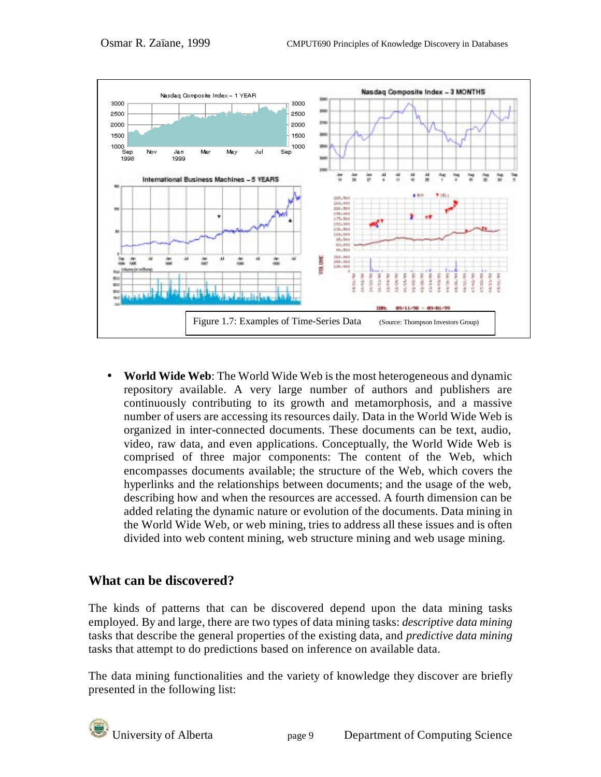

• **World Wide Web**: The World Wide Web is the most heterogeneous and dynamic repository available. A very large number of authors and publishers are continuously contributing to its growth and metamorphosis, and a massive number of users are accessing its resources daily. Data in the World Wide Web is organized in inter-connected documents. These documents can be text, audio, video, raw data, and even applications. Conceptually, the World Wide Web is comprised of three major components: The content of the Web, which encompasses documents available; the structure of the Web, which covers the hyperlinks and the relationships between documents; and the usage of the web, describing how and when the resources are accessed. A fourth dimension can be added relating the dynamic nature or evolution of the documents. Data mining in the World Wide Web, or web mining, tries to address all these issues and is often divided into web content mining, web structure mining and web usage mining.

#### **What can be discovered?**

The kinds of patterns that can be discovered depend upon the data mining tasks employed. By and large, there are two types of data mining tasks: *descriptive data mining* tasks that describe the general properties of the existing data, and *predictive data mining* tasks that attempt to do predictions based on inference on available data.

The data mining functionalities and the variety of knowledge they discover are briefly presented in the following list:

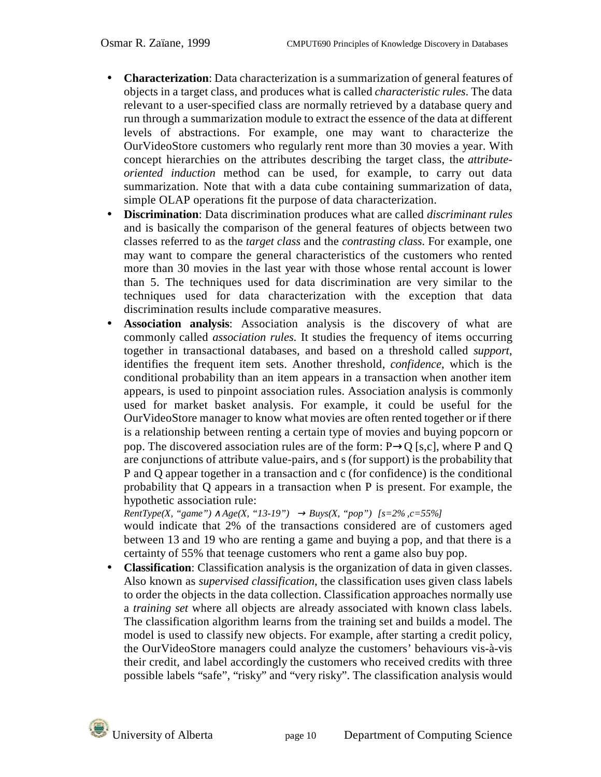- **Characterization**: Data characterization is a summarization of general features of objects in a target class, and produces what is called *characteristic rules*. The data relevant to a user-specified class are normally retrieved by a database query and run through a summarization module to extract the essence of the data at different levels of abstractions. For example, one may want to characterize the OurVideoStore customers who regularly rent more than 30 movies a year. With concept hierarchies on the attributes describing the target class, the *attributeoriented induction* method can be used, for example, to carry out data summarization. Note that with a data cube containing summarization of data, simple OLAP operations fit the purpose of data characterization.
- **Discrimination**: Data discrimination produces what are called *discriminant rules* and is basically the comparison of the general features of objects between two classes referred to as the *target class* and the *contrasting class*. For example, one may want to compare the general characteristics of the customers who rented more than 30 movies in the last year with those whose rental account is lower than 5. The techniques used for data discrimination are very similar to the techniques used for data characterization with the exception that data discrimination results include comparative measures.
- **Association analysis**: Association analysis is the discovery of what are commonly called *association rules*. It studies the frequency of items occurring together in transactional databases, and based on a threshold called *support*, identifies the frequent item sets. Another threshold, *confidence*, which is the conditional probability than an item appears in a transaction when another item appears, is used to pinpoint association rules. Association analysis is commonly used for market basket analysis. For example, it could be useful for the OurVideoStore manager to know what movies are often rented together or if there is a relationship between renting a certain type of movies and buying popcorn or pop. The discovered association rules are of the form: P→Q [s,c], where P and Q are conjunctions of attribute value-pairs, and s (for support) is the probability that P and Q appear together in a transaction and c (for confidence) is the conditional probability that Q appears in a transaction when P is present. For example, the hypothetic association rule:

*RentType(X, "game")*  $\land$  *Age(X, "13-19")*  $\rightarrow$  *Buys(X, "pop")* [s=2%,c=55%]

would indicate that 2% of the transactions considered are of customers aged between 13 and 19 who are renting a game and buying a pop, and that there is a certainty of 55% that teenage customers who rent a game also buy pop.

• **Classification**: Classification analysis is the organization of data in given classes. Also known as *supervised classification*, the classification uses given class labels to order the objects in the data collection. Classification approaches normally use a *training set* where all objects are already associated with known class labels. The classification algorithm learns from the training set and builds a model. The model is used to classify new objects. For example, after starting a credit policy, the OurVideoStore managers could analyze the customers' behaviours vis-à-vis their credit, and label accordingly the customers who received credits with three possible labels "safe", "risky" and "very risky". The classification analysis would

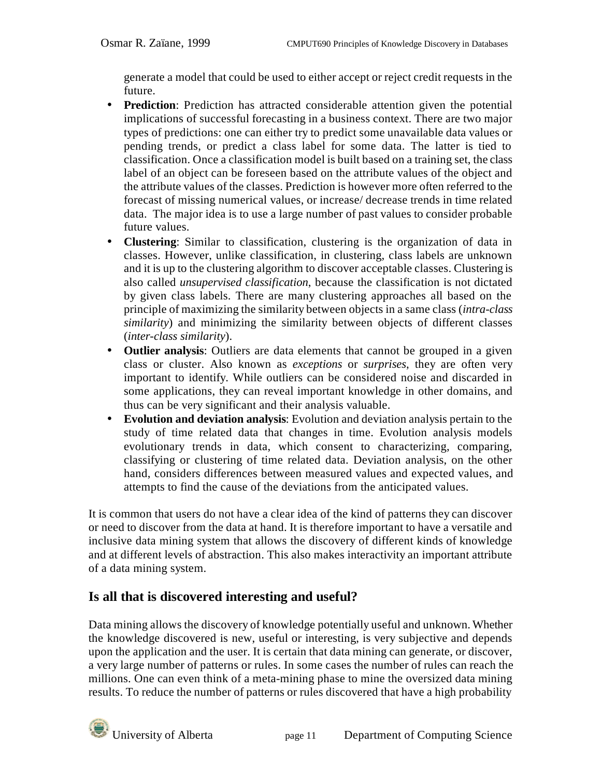generate a model that could be used to either accept or reject credit requests in the future.

- **Prediction**: Prediction has attracted considerable attention given the potential implications of successful forecasting in a business context. There are two major types of predictions: one can either try to predict some unavailable data values or pending trends, or predict a class label for some data. The latter is tied to classification. Once a classification model is built based on a training set, the class label of an object can be foreseen based on the attribute values of the object and the attribute values of the classes. Prediction is however more often referred to the forecast of missing numerical values, or increase/ decrease trends in time related data. The major idea is to use a large number of past values to consider probable future values.
- **Clustering**: Similar to classification, clustering is the organization of data in classes. However, unlike classification, in clustering, class labels are unknown and it is up to the clustering algorithm to discover acceptable classes. Clustering is also called *unsupervised classification*, because the classification is not dictated by given class labels. There are many clustering approaches all based on the principle of maximizing the similarity between objects in a same class (*intra-class similarity*) and minimizing the similarity between objects of different classes (*inter-class similarity*).
- **Outlier analysis**: Outliers are data elements that cannot be grouped in a given class or cluster. Also known as *exceptions* or *surprises*, they are often very important to identify. While outliers can be considered noise and discarded in some applications, they can reveal important knowledge in other domains, and thus can be very significant and their analysis valuable.
- **Evolution and deviation analysis**: Evolution and deviation analysis pertain to the study of time related data that changes in time. Evolution analysis models evolutionary trends in data, which consent to characterizing, comparing, classifying or clustering of time related data. Deviation analysis, on the other hand, considers differences between measured values and expected values, and attempts to find the cause of the deviations from the anticipated values.

It is common that users do not have a clear idea of the kind of patterns they can discover or need to discover from the data at hand. It is therefore important to have a versatile and inclusive data mining system that allows the discovery of different kinds of knowledge and at different levels of abstraction. This also makes interactivity an important attribute of a data mining system.

# **Is all that is discovered interesting and useful?**

Data mining allows the discovery of knowledge potentially useful and unknown. Whether the knowledge discovered is new, useful or interesting, is very subjective and depends upon the application and the user. It is certain that data mining can generate, or discover, a very large number of patterns or rules. In some cases the number of rules can reach the millions. One can even think of a meta-mining phase to mine the oversized data mining results. To reduce the number of patterns or rules discovered that have a high probability

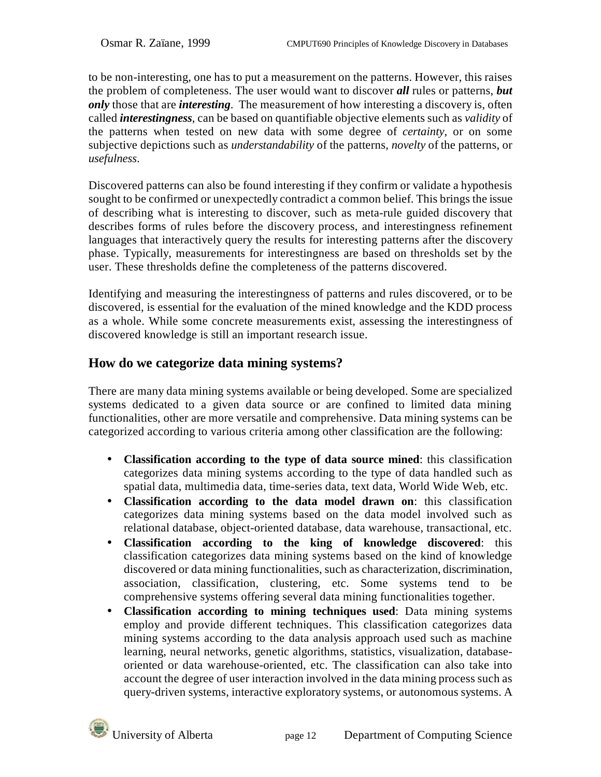to be non-interesting, one has to put a measurement on the patterns. However, this raises the problem of completeness. The user would want to discover *all* rules or patterns, *but only* those that are *interesting*. The measurement of how interesting a discovery is, often called *interestingness*, can be based on quantifiable objective elements such as *validity* of the patterns when tested on new data with some degree of *certainty*, or on some subjective depictions such as *understandability* of the patterns, *novelty* of the patterns, or *usefulness*.

Discovered patterns can also be found interesting if they confirm or validate a hypothesis sought to be confirmed or unexpectedly contradict a common belief. This brings the issue of describing what is interesting to discover, such as meta-rule guided discovery that describes forms of rules before the discovery process, and interestingness refinement languages that interactively query the results for interesting patterns after the discovery phase. Typically, measurements for interestingness are based on thresholds set by the user. These thresholds define the completeness of the patterns discovered.

Identifying and measuring the interestingness of patterns and rules discovered, or to be discovered, is essential for the evaluation of the mined knowledge and the KDD process as a whole. While some concrete measurements exist, assessing the interestingness of discovered knowledge is still an important research issue.

# **How do we categorize data mining systems?**

There are many data mining systems available or being developed. Some are specialized systems dedicated to a given data source or are confined to limited data mining functionalities, other are more versatile and comprehensive. Data mining systems can be categorized according to various criteria among other classification are the following:

- **Classification according to the type of data source mined**: this classification categorizes data mining systems according to the type of data handled such as spatial data, multimedia data, time-series data, text data, World Wide Web, etc.
- **Classification according to the data model drawn on**: this classification categorizes data mining systems based on the data model involved such as relational database, object-oriented database, data warehouse, transactional, etc.
- **Classification according to the king of knowledge discovered**: this classification categorizes data mining systems based on the kind of knowledge discovered or data mining functionalities, such as characterization, discrimination, association, classification, clustering, etc. Some systems tend to be comprehensive systems offering several data mining functionalities together.
- **Classification according to mining techniques used**: Data mining systems employ and provide different techniques. This classification categorizes data mining systems according to the data analysis approach used such as machine learning, neural networks, genetic algorithms, statistics, visualization, databaseoriented or data warehouse-oriented, etc. The classification can also take into account the degree of user interaction involved in the data mining process such as query-driven systems, interactive exploratory systems, or autonomous systems. A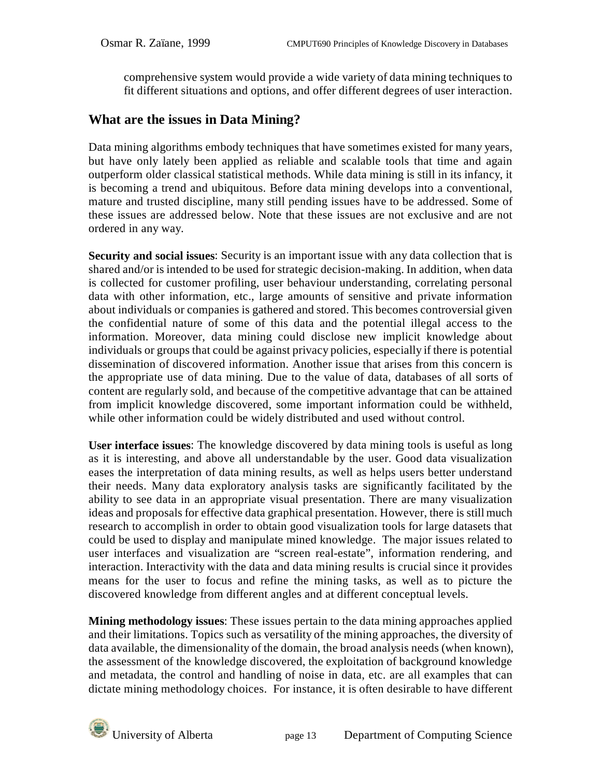comprehensive system would provide a wide variety of data mining techniques to fit different situations and options, and offer different degrees of user interaction.

### **What are the issues in Data Mining?**

Data mining algorithms embody techniques that have sometimes existed for many years, but have only lately been applied as reliable and scalable tools that time and again outperform older classical statistical methods. While data mining is still in its infancy, it is becoming a trend and ubiquitous. Before data mining develops into a conventional, mature and trusted discipline, many still pending issues have to be addressed. Some of these issues are addressed below. Note that these issues are not exclusive and are not ordered in any way.

**Security and social issues**: Security is an important issue with any data collection that is shared and/or is intended to be used for strategic decision-making. In addition, when data is collected for customer profiling, user behaviour understanding, correlating personal data with other information, etc., large amounts of sensitive and private information about individuals or companies is gathered and stored. This becomes controversial given the confidential nature of some of this data and the potential illegal access to the information. Moreover, data mining could disclose new implicit knowledge about individuals or groups that could be against privacy policies, especially if there is potential dissemination of discovered information. Another issue that arises from this concern is the appropriate use of data mining. Due to the value of data, databases of all sorts of content are regularly sold, and because of the competitive advantage that can be attained from implicit knowledge discovered, some important information could be withheld, while other information could be widely distributed and used without control.

**User interface issues**: The knowledge discovered by data mining tools is useful as long as it is interesting, and above all understandable by the user. Good data visualization eases the interpretation of data mining results, as well as helps users better understand their needs. Many data exploratory analysis tasks are significantly facilitated by the ability to see data in an appropriate visual presentation. There are many visualization ideas and proposals for effective data graphical presentation. However, there is still much research to accomplish in order to obtain good visualization tools for large datasets that could be used to display and manipulate mined knowledge. The major issues related to user interfaces and visualization are "screen real-estate", information rendering, and interaction. Interactivity with the data and data mining results is crucial since it provides means for the user to focus and refine the mining tasks, as well as to picture the discovered knowledge from different angles and at different conceptual levels.

**Mining methodology issues**: These issues pertain to the data mining approaches applied and their limitations. Topics such as versatility of the mining approaches, the diversity of data available, the dimensionality of the domain, the broad analysis needs (when known), the assessment of the knowledge discovered, the exploitation of background knowledge and metadata, the control and handling of noise in data, etc. are all examples that can dictate mining methodology choices. For instance, it is often desirable to have different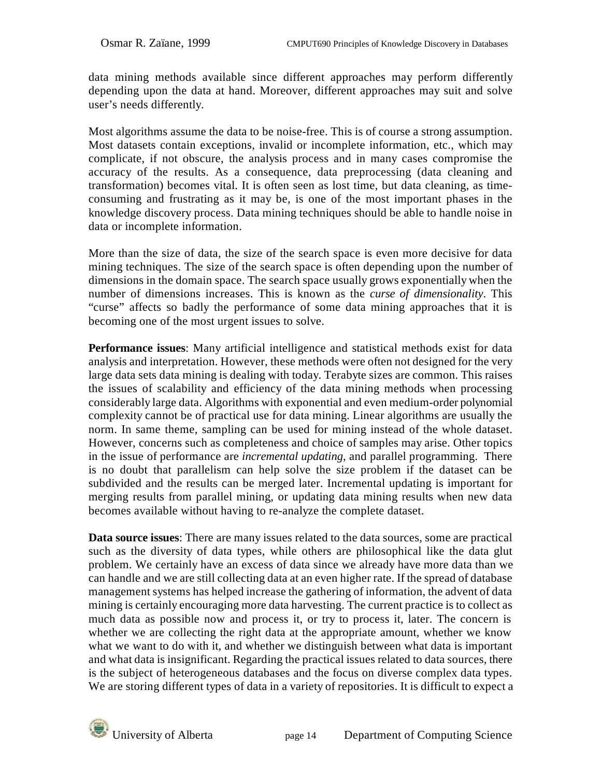data mining methods available since different approaches may perform differently depending upon the data at hand. Moreover, different approaches may suit and solve user's needs differently.

Most algorithms assume the data to be noise-free. This is of course a strong assumption. Most datasets contain exceptions, invalid or incomplete information, etc., which may complicate, if not obscure, the analysis process and in many cases compromise the accuracy of the results. As a consequence, data preprocessing (data cleaning and transformation) becomes vital. It is often seen as lost time, but data cleaning, as timeconsuming and frustrating as it may be, is one of the most important phases in the knowledge discovery process. Data mining techniques should be able to handle noise in data or incomplete information.

More than the size of data, the size of the search space is even more decisive for data mining techniques. The size of the search space is often depending upon the number of dimensions in the domain space. The search space usually grows exponentially when the number of dimensions increases. This is known as the *curse of dimensionality*. This "curse" affects so badly the performance of some data mining approaches that it is becoming one of the most urgent issues to solve.

**Performance issues**: Many artificial intelligence and statistical methods exist for data analysis and interpretation. However, these methods were often not designed for the very large data sets data mining is dealing with today. Terabyte sizes are common. This raises the issues of scalability and efficiency of the data mining methods when processing considerably large data. Algorithms with exponential and even medium-order polynomial complexity cannot be of practical use for data mining. Linear algorithms are usually the norm. In same theme, sampling can be used for mining instead of the whole dataset. However, concerns such as completeness and choice of samples may arise. Other topics in the issue of performance are *incremental updating*, and parallel programming. There is no doubt that parallelism can help solve the size problem if the dataset can be subdivided and the results can be merged later. Incremental updating is important for merging results from parallel mining, or updating data mining results when new data becomes available without having to re-analyze the complete dataset.

**Data source issues**: There are many issues related to the data sources, some are practical such as the diversity of data types, while others are philosophical like the data glut problem. We certainly have an excess of data since we already have more data than we can handle and we are still collecting data at an even higher rate. If the spread of database management systems has helped increase the gathering of information, the advent of data mining is certainly encouraging more data harvesting. The current practice is to collect as much data as possible now and process it, or try to process it, later. The concern is whether we are collecting the right data at the appropriate amount, whether we know what we want to do with it, and whether we distinguish between what data is important and what data is insignificant. Regarding the practical issues related to data sources, there is the subject of heterogeneous databases and the focus on diverse complex data types. We are storing different types of data in a variety of repositories. It is difficult to expect a